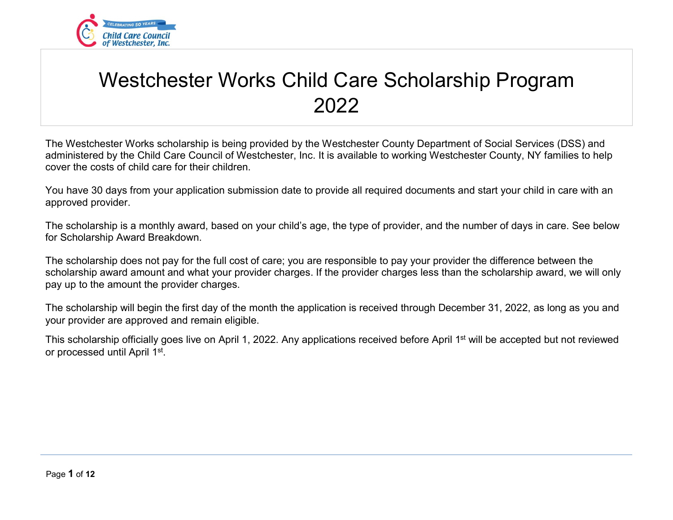

# Westchester Works Child Care Scholarship Program 2022

The Westchester Works scholarship is being provided by the Westchester County Department of Social Services (DSS) and administered by the Child Care Council of Westchester, Inc. It is available to working Westchester County, NY families to help cover the costs of child care for their children.

You have 30 days from your application submission date to provide all required documents and start your child in care with an approved provider.

The scholarship is a monthly award, based on your child's age, the type of provider, and the number of days in care. See below for Scholarship Award Breakdown.

The scholarship does not pay for the full cost of care; you are responsible to pay your provider the difference between the scholarship award amount and what your provider charges. If the provider charges less than the scholarship award, we will only pay up to the amount the provider charges.

The scholarship will begin the first day of the month the application is received through December 31, 2022, as long as you and your provider are approved and remain eligible.

This scholarship officially goes live on April 1, 2022. Any applications received before April 1st will be accepted but not reviewed or processed until April 1st.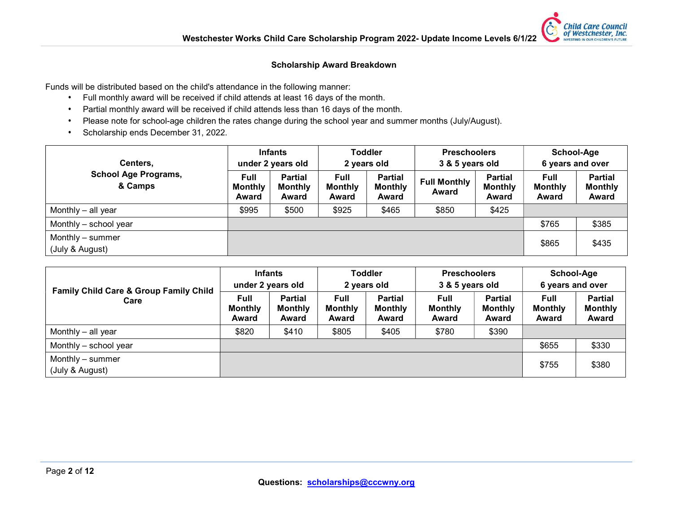**Child Care Council** of Westchester, Inc. INVESTING IN OUR CHILDREN'S FUTURE

#### Scholarship Award Breakdown

Funds will be distributed based on the child's attendance in the following manner:

- Full monthly award will be received if child attends at least 16 days of the month.
- Partial monthly award will be received if child attends less than 16 days of the month.
- Please note for school-age children the rates change during the school year and summer months (July/August).
- Scholarship ends December 31, 2022.

| Centers,                               |                                        | <b>Infants</b><br>under 2 years old       |                                        | Toddler<br>2 years old                    | <b>Preschoolers</b><br>3 & 5 years old |                                           | School-Age<br>6 years and over  |                                           |
|----------------------------------------|----------------------------------------|-------------------------------------------|----------------------------------------|-------------------------------------------|----------------------------------------|-------------------------------------------|---------------------------------|-------------------------------------------|
| <b>School Age Programs,</b><br>& Camps | <b>Full</b><br><b>Monthly</b><br>Award | <b>Partial</b><br><b>Monthly</b><br>Award | <b>Full</b><br><b>Monthly</b><br>Award | <b>Partial</b><br><b>Monthly</b><br>Award | <b>Full Monthly</b><br>Award           | <b>Partial</b><br><b>Monthly</b><br>Award | Full<br><b>Monthly</b><br>Award | <b>Partial</b><br><b>Monthly</b><br>Award |
| Monthly - all year                     | \$995                                  | \$500                                     | \$925                                  | \$465                                     | \$850                                  | \$425                                     |                                 |                                           |
| Monthly - school year                  |                                        |                                           |                                        |                                           |                                        |                                           | \$765                           | \$385                                     |
| Monthly – summer<br>(July & August)    |                                        |                                           |                                        |                                           |                                        |                                           | \$865                           | \$435                                     |

| <b>Family Child Care &amp; Group Family Child</b> | <b>Infants</b><br>under 2 years old    |                                           | <b>Toddler</b><br>2 years old          |                                           | <b>Preschoolers</b><br>3 & 5 years old |                                           | School-Age<br>6 years and over         |                                           |
|---------------------------------------------------|----------------------------------------|-------------------------------------------|----------------------------------------|-------------------------------------------|----------------------------------------|-------------------------------------------|----------------------------------------|-------------------------------------------|
| Care                                              | <b>Full</b><br><b>Monthly</b><br>Award | <b>Partial</b><br><b>Monthly</b><br>Award | <b>Full</b><br><b>Monthly</b><br>Award | <b>Partial</b><br><b>Monthly</b><br>Award | <b>Full</b><br><b>Monthly</b><br>Award | <b>Partial</b><br><b>Monthly</b><br>Award | <b>Full</b><br><b>Monthly</b><br>Award | <b>Partial</b><br><b>Monthly</b><br>Award |
| Monthly - all year                                | \$820                                  | \$410                                     | \$805                                  | \$405                                     | \$780                                  | \$390                                     |                                        |                                           |
| Monthly - school year                             |                                        |                                           |                                        |                                           |                                        |                                           | \$655                                  | \$330                                     |
| Monthly - summer<br>(July & August)               |                                        |                                           |                                        |                                           |                                        |                                           | \$755                                  | \$380                                     |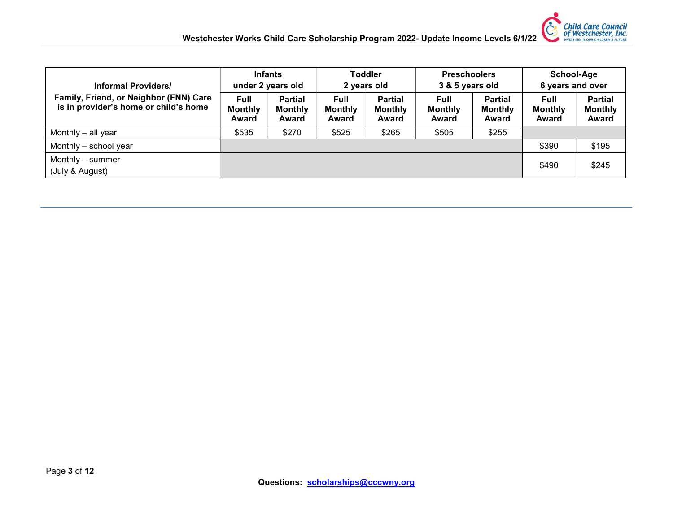

| <b>Informal Providers/</b>                                                      |                                        | <b>Infants</b><br>under 2 years old       |                                        | <b>Toddler</b><br>2 years old             | <b>Preschoolers</b><br>3 & 5 years old |                                           | School-Age<br>6 years and over         |                                                  |
|---------------------------------------------------------------------------------|----------------------------------------|-------------------------------------------|----------------------------------------|-------------------------------------------|----------------------------------------|-------------------------------------------|----------------------------------------|--------------------------------------------------|
| Family, Friend, or Neighbor (FNN) Care<br>is in provider's home or child's home | <b>Full</b><br><b>Monthly</b><br>Award | <b>Partial</b><br><b>Monthly</b><br>Award | <b>Full</b><br><b>Monthly</b><br>Award | <b>Partial</b><br><b>Monthly</b><br>Award | <b>Full</b><br><b>Monthly</b><br>Award | <b>Partial</b><br><b>Monthly</b><br>Award | <b>Full</b><br><b>Monthly</b><br>Award | <b>Partial</b><br><b>Monthly</b><br><b>Award</b> |
| Monthly – all year                                                              | \$535                                  | \$270                                     | \$525                                  | \$265                                     | \$505                                  | \$255                                     |                                        |                                                  |
| Monthly - school year                                                           |                                        |                                           |                                        |                                           |                                        |                                           | \$390                                  | \$195                                            |
| Monthly - summer<br>(July & August)                                             |                                        |                                           |                                        |                                           |                                        |                                           | \$490                                  | \$245                                            |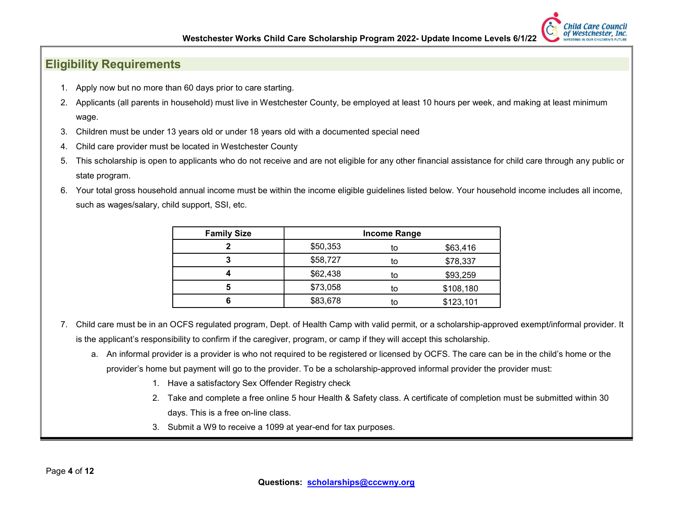

### Eligibility Requirements

- 1. Apply now but no more than 60 days prior to care starting.
- 2. Applicants (all parents in household) must live in Westchester County, be employed at least 10 hours per week, and making at least minimum wage.
- 3. Children must be under 13 years old or under 18 years old with a documented special need
- 4. Child care provider must be located in Westchester County
- 5. This scholarship is open to applicants who do not receive and are not eligible for any other financial assistance for child care through any public or state program.
- 6. Your total gross household annual income must be within the income eligible guidelines listed below. Your household income includes all income, such as wages/salary, child support, SSI, etc.

| <b>Family Size</b> |          | <b>Income Range</b> |           |
|--------------------|----------|---------------------|-----------|
|                    | \$50,353 | to                  | \$63,416  |
| 3                  | \$58,727 | to                  | \$78,337  |
|                    | \$62,438 | to                  | \$93,259  |
| 5                  | \$73,058 | to                  | \$108,180 |
|                    | \$83,678 | to                  | \$123,101 |

- 7. Child care must be in an OCFS regulated program, Dept. of Health Camp with valid permit, or a scholarship-approved exempt/informal provider. It is the applicant's responsibility to confirm if the caregiver, program, or camp if they will accept this scholarship.
	- a. An informal provider is a provider is who not required to be registered or licensed by OCFS. The care can be in the child's home or the provider's home but payment will go to the provider. To be a scholarship-approved informal provider the provider must:
		- 1. Have a satisfactory Sex Offender Registry check
		- 2. Take and complete a free online 5 hour Health & Safety class. A certificate of completion must be submitted within 30 days. This is a free on-line class.
		- 3. Submit a W9 to receive a 1099 at year-end for tax purposes.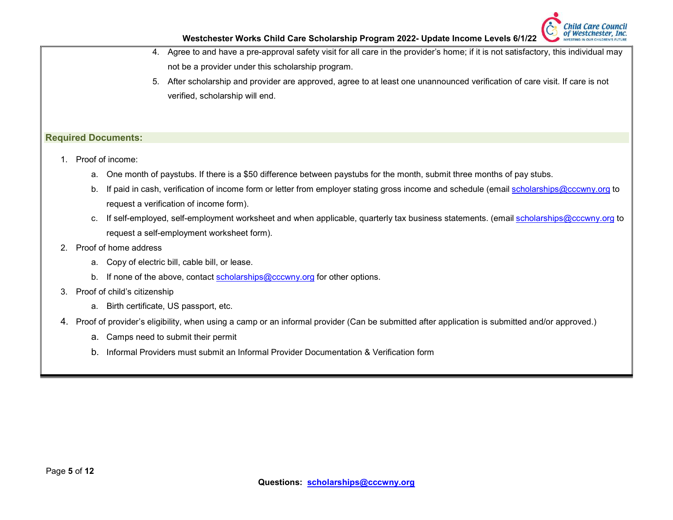

- 4. Agree to and have a pre-approval safety visit for all care in the provider's home; if it is not satisfactory, this individual may not be a provider under this scholarship program.
- 5. After scholarship and provider are approved, agree to at least one unannounced verification of care visit. If care is not verified, scholarship will end.

#### Required Documents:

- 1. Proof of income:
	- a. One month of paystubs. If there is a \$50 difference between paystubs for the month, submit three months of pay stubs.
	- b. If paid in cash, verification of income form or letter from employer stating gross income and schedule (email scholarships@cccwny.org to request a verification of income form).
	- c. If self-employed, self-employment worksheet and when applicable, quarterly tax business statements. (email scholarships@cccwny.org to request a self-employment worksheet form).
- 2. Proof of home address
	- a. Copy of electric bill, cable bill, or lease.
	- b. If none of the above, contact scholarships@cccwny.org for other options.
- 3. Proof of child's citizenship
	- a. Birth certificate, US passport, etc.
- 4. Proof of provider's eligibility, when using a camp or an informal provider (Can be submitted after application is submitted and/or approved.)
	- a. Camps need to submit their permit
	- b. Informal Providers must submit an Informal Provider Documentation & Verification form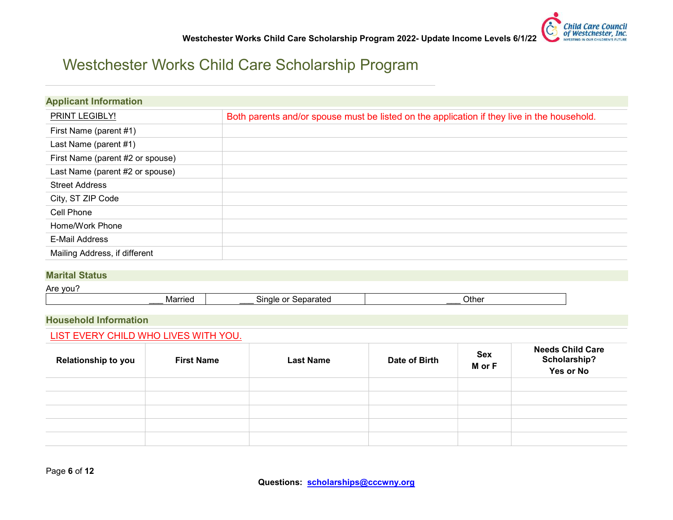

### Westchester Works Child Care Scholarship Program

| <b>Applicant Information</b>     |                                                                                             |
|----------------------------------|---------------------------------------------------------------------------------------------|
| PRINT LEGIBLY!                   | Both parents and/or spouse must be listed on the application if they live in the household. |
| First Name (parent #1)           |                                                                                             |
| Last Name (parent #1)            |                                                                                             |
| First Name (parent #2 or spouse) |                                                                                             |
| Last Name (parent #2 or spouse)  |                                                                                             |
| <b>Street Address</b>            |                                                                                             |
| City, ST ZIP Code                |                                                                                             |
| Cell Phone                       |                                                                                             |
| Home/Work Phone                  |                                                                                             |
| <b>E-Mail Address</b>            |                                                                                             |
| Mailing Address, if different    |                                                                                             |

#### Marital Status

#### Are you? Married | Single or Separated | Cher

#### Household Information

#### LIST EVERY CHILD WHO LIVES WITH YOU.

| <b>Relationship to you</b> | <b>First Name</b> | <b>Last Name</b> | Date of Birth | <b>Sex</b><br>M or F | <b>Needs Child Care</b><br>Scholarship?<br>Yes or No |
|----------------------------|-------------------|------------------|---------------|----------------------|------------------------------------------------------|
|                            |                   |                  |               |                      |                                                      |
|                            |                   |                  |               |                      |                                                      |
|                            |                   |                  |               |                      |                                                      |
|                            |                   |                  |               |                      |                                                      |
|                            |                   |                  |               |                      |                                                      |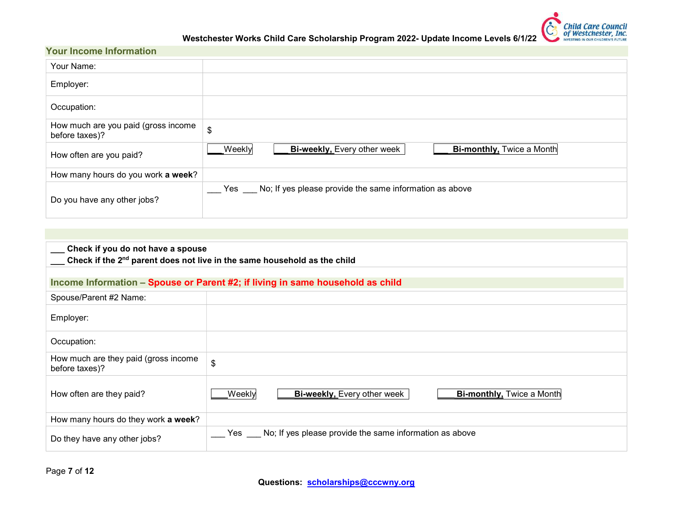

Westchester Works Child Care Scholarship Program 2022- Update Income Levels 6/1/22

#### Your Income Information

| Your Name:                                            |                                                                                  |
|-------------------------------------------------------|----------------------------------------------------------------------------------|
| Employer:                                             |                                                                                  |
| Occupation:                                           |                                                                                  |
| How much are you paid (gross income<br>before taxes)? | $\boldsymbol{\mathsf{S}}$                                                        |
| How often are you paid?                               | <b>Bi-weekly, Every other week</b><br>Weekly<br><b>Bi-monthly, Twice a Month</b> |
| How many hours do you work a week?                    |                                                                                  |
| Do you have any other jobs?                           | No; If yes please provide the same information as above<br>Yes                   |

| Check if you do not have a spouse<br>Check if the 2 <sup>nd</sup> parent does not live in the same household as the child |                                                                                  |  |  |  |  |  |  |
|---------------------------------------------------------------------------------------------------------------------------|----------------------------------------------------------------------------------|--|--|--|--|--|--|
|                                                                                                                           | Income Information – Spouse or Parent #2; if living in same household as child   |  |  |  |  |  |  |
| Spouse/Parent #2 Name:                                                                                                    |                                                                                  |  |  |  |  |  |  |
| Employer:                                                                                                                 |                                                                                  |  |  |  |  |  |  |
| Occupation:                                                                                                               |                                                                                  |  |  |  |  |  |  |
| How much are they paid (gross income<br>before taxes)?                                                                    | \$                                                                               |  |  |  |  |  |  |
| How often are they paid?                                                                                                  | <b>Bi-weekly, Every other week</b><br><b>Bi-monthly, Twice a Month</b><br>Weekly |  |  |  |  |  |  |
| How many hours do they work a week?                                                                                       |                                                                                  |  |  |  |  |  |  |
| Do they have any other jobs?                                                                                              | No; If yes please provide the same information as above<br>Yes $\_\_$            |  |  |  |  |  |  |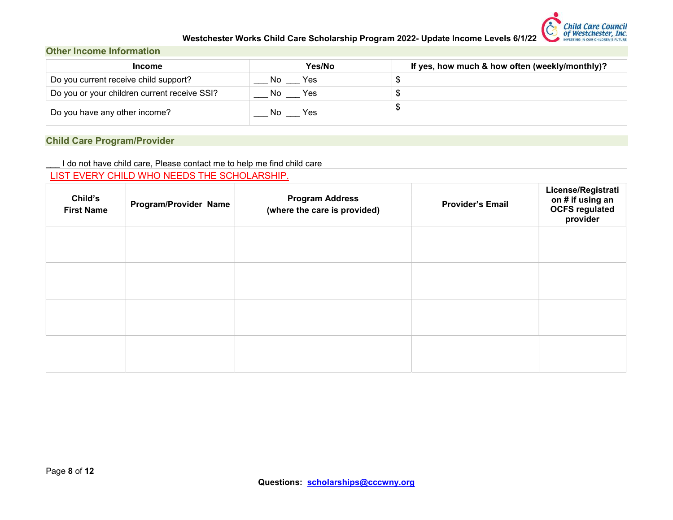

#### Westchester Works Child Care Scholarship Program 2022- Update Income Levels 6/1/22

#### Other Income Information

| <b>Income</b>                                | Yes/No      | If yes, how much & how often (weekly/monthly)? |
|----------------------------------------------|-------------|------------------------------------------------|
| Do you current receive child support?        | Yes<br>. No |                                                |
| Do you or your children current receive SSI? | Yes<br>.No  |                                                |
| Do you have any other income?                | Yes<br>NC   |                                                |

#### Child Care Program/Provider

I do not have child care, Please contact me to help me find child care

#### LIST EVERY CHILD WHO NEEDS THE SCHOLARSHIP.

| Child's<br><b>First Name</b> | Program/Provider Name | <b>Program Address</b><br>(where the care is provided) | <b>Provider's Email</b> | License/Registrati<br>on # if using an<br><b>OCFS</b> regulated<br>provider |
|------------------------------|-----------------------|--------------------------------------------------------|-------------------------|-----------------------------------------------------------------------------|
|                              |                       |                                                        |                         |                                                                             |
|                              |                       |                                                        |                         |                                                                             |
|                              |                       |                                                        |                         |                                                                             |
|                              |                       |                                                        |                         |                                                                             |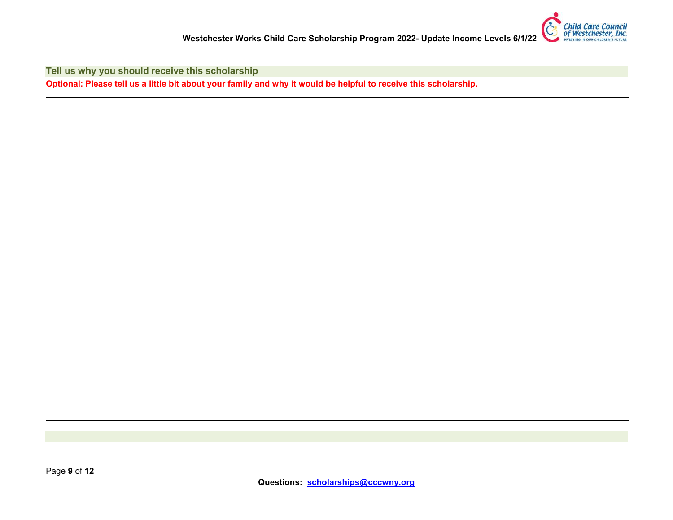

Tell us why you should receive this scholarship

Optional: Please tell us a little bit about your family and why it would be helpful to receive this scholarship.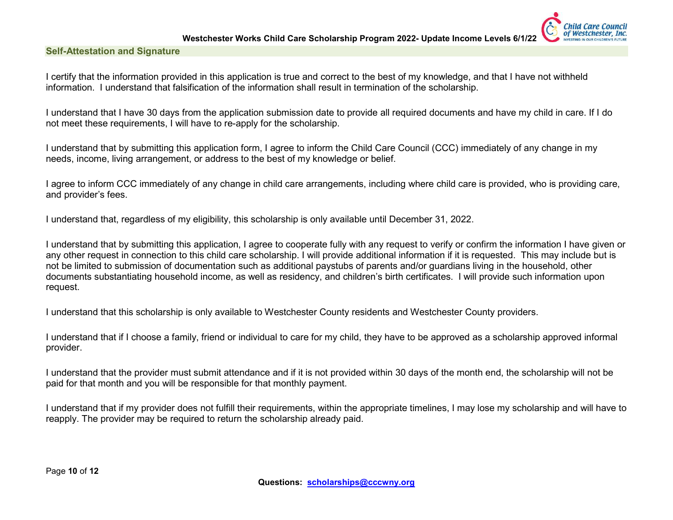**Child Care Council** of Westchester, Inc.



I certify that the information provided in this application is true and correct to the best of my knowledge, and that I have not withheld information. I understand that falsification of the information shall result in termination of the scholarship.

I understand that I have 30 days from the application submission date to provide all required documents and have my child in care. If I do not meet these requirements, I will have to re-apply for the scholarship.

I understand that by submitting this application form, I agree to inform the Child Care Council (CCC) immediately of any change in my needs, income, living arrangement, or address to the best of my knowledge or belief.

I agree to inform CCC immediately of any change in child care arrangements, including where child care is provided, who is providing care, and provider's fees.

I understand that, regardless of my eligibility, this scholarship is only available until December 31, 2022.

I understand that by submitting this application, I agree to cooperate fully with any request to verify or confirm the information I have given or any other request in connection to this child care scholarship. I will provide additional information if it is requested. This may include but is not be limited to submission of documentation such as additional paystubs of parents and/or guardians living in the household, other documents substantiating household income, as well as residency, and children's birth certificates. I will provide such information upon request.

I understand that this scholarship is only available to Westchester County residents and Westchester County providers.

I understand that if I choose a family, friend or individual to care for my child, they have to be approved as a scholarship approved informal provider.

I understand that the provider must submit attendance and if it is not provided within 30 days of the month end, the scholarship will not be paid for that month and you will be responsible for that monthly payment.

I understand that if my provider does not fulfill their requirements, within the appropriate timelines, I may lose my scholarship and will have to reapply. The provider may be required to return the scholarship already paid.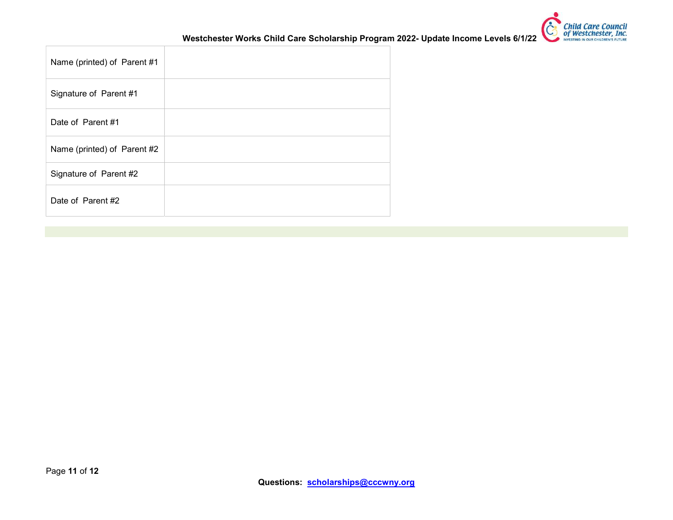

Westchester Works Child Care Scholarship Program 2022- Update Income Levels 6/1/22

| Name (printed) of Parent #1 |  |
|-----------------------------|--|
| Signature of Parent #1      |  |
| Date of Parent #1           |  |
| Name (printed) of Parent #2 |  |
| Signature of Parent #2      |  |
| Date of Parent #2           |  |